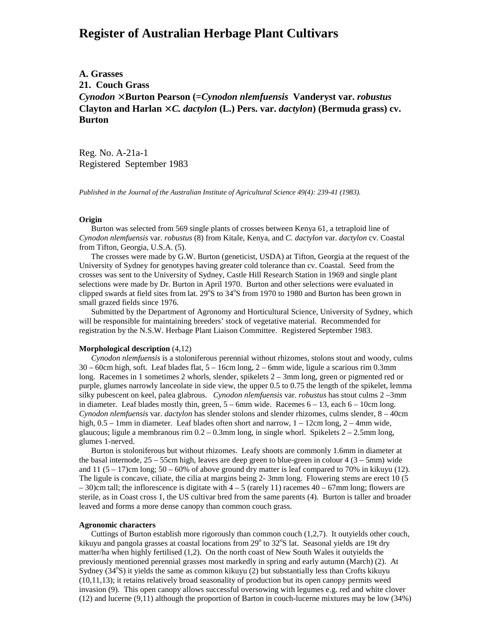# **Register of Australian Herbage Plant Cultivars**

**A. Grasses 21. Couch Grass** *Cynodon* × **Burton Pearson (=***Cynodon nlemfuensis* **Vanderyst var.** *robustus* Clayton and Harlan  $\times$  *C. dactylon* (L.) Pers. var. *dactylon*) (Bermuda grass) cv. **Burton**

Reg. No. A-21a-1 Registered September 1983

*Published in the Journal of the Australian Institute of Agricultural Science 49(4): 239-41 (1983).*

#### **Origin**

 Burton was selected from 569 single plants of crosses between Kenya 61, a tetraploid line of *Cynodon nlemfuensis* var. *robustus* (8) from Kitale, Kenya, and *C. dactylon* var. *dactylon* cv. Coastal from Tifton, Georgia, U.S.A. (5).

 The crosses were made by G.W. Burton (geneticist, USDA) at Tifton, Georgia at the request of the University of Sydney for genotypes having greater cold tolerance than cv. Coastal. Seed from the crosses was sent to the University of Sydney, Castle Hill Research Station in 1969 and single plant selections were made by Dr. Burton in April 1970. Burton and other selections were evaluated in clipped swards at field sites from lat.  $29^{\circ}$ S to  $34^{\circ}$ S from 1970 to 1980 and Burton has been grown in small grazed fields since 1976.

 Submitted by the Department of Agronomy and Horticultural Science, University of Sydney, which will be responsible for maintaining breeders' stock of vegetative material. Recommended for registration by the N.S.W. Herbage Plant Liaison Committee. Registered September 1983.

## **Morphological description** (4,12)

 *Cynodon nlemfuensis* is a stoloniferous perennial without rhizomes, stolons stout and woody, culms 30 – 60cm high, soft. Leaf blades flat, 5 – 16cm long, 2 – 6mm wide, ligule a scarious rim 0.3mm long. Racemes in 1 sometimes 2 whorls, slender, spikelets 2 – 3mm long, green or pigmented red or purple, glumes narrowly lanceolate in side view, the upper 0.5 to 0.75 the length of the spikelet, lemma silky pubescent on keel, palea glabrous. *Cynodon nlemfuensis* var. *robustus* has stout culms 2 –3mm in diameter. Leaf blades mostly thin, green,  $5 - 6$ mm wide. Racemes  $6 - 13$ , each  $6 - 10$ cm long. *Cynodon nlemfuensis* var. *dactylon* has slender stolons and slender rhizomes, culms slender, 8 – 40cm high,  $0.5 - 1$ mm in diameter. Leaf blades often short and narrow,  $1 - 12$ cm long,  $2 - 4$ mm wide, glaucous; ligule a membranous rim  $0.2 - 0.3$ mm long, in single whorl. Spikelets  $2 - 2.5$ mm long, glumes 1-nerved.

 Burton is stoloniferous but without rhizomes. Leafy shoots are commonly 1.6mm in diameter at the basal internode,  $25 - 55$ cm high, leaves are deep green to blue-green in colour 4 ( $3 - 5$ mm) wide and 11 ( $5 - 17$ )cm long;  $50 - 60\%$  of above ground dry matter is leaf compared to 70% in kikuyu (12). The ligule is concave, ciliate, the cilia at margins being 2- 3mm long. Flowering stems are erect 10 (5  $-30$ )cm tall; the inflorescence is digitate with  $4-5$  (rarely 11) racemes  $40-67$ mm long; flowers are sterile, as in Coast cross 1, the US cultivar bred from the same parents (4). Burton is taller and broader leaved and forms a more dense canopy than common couch grass.

## **Agronomic characters**

 Cuttings of Burton establish more rigorously than common couch (1,2,7). It outyields other couch, kikuyu and pangola grasses at coastal locations from 29° to 32°S lat. Seasonal yields are 19t dry matter/ha when highly fertilised (1,2). On the north coast of New South Wales it outyields the previously mentioned perennial grasses most markedly in spring and early autumn (March) (2). At Sydney (34°S) it yields the same as common kikuyu (2) but substantially less than Crofts kikuyu (10,11,13); it retains relatively broad seasonality of production but its open canopy permits weed invasion (9). This open canopy allows successful oversowing with legumes e.g. red and white clover (12) and lucerne (9,11) although the proportion of Barton in couch-lucerne mixtures may be low (34%)